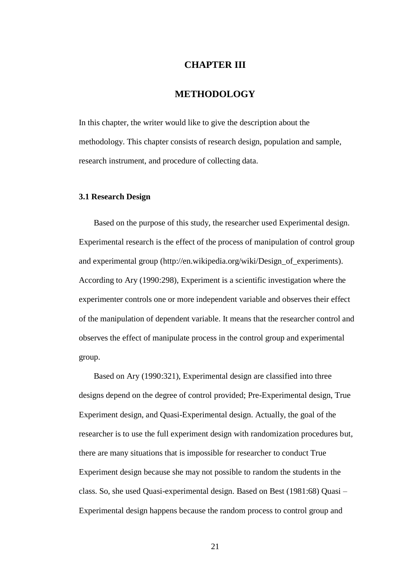# **CHAPTER III**

## **METHODOLOGY**

In this chapter, the writer would like to give the description about the methodology. This chapter consists of research design, population and sample, research instrument, and procedure of collecting data.

## **3.1 Research Design**

Based on the purpose of this study, the researcher used Experimental design. Experimental research is the effect of the process of manipulation of control group and experimental group [\(http://en.wikipedia.org/wiki/Design\\_of\\_experiments\)](http://en.wikipedia.org/wiki/Design_of_experiments). According to Ary (1990:298), Experiment is a scientific investigation where the experimenter controls one or more independent variable and observes their effect of the manipulation of dependent variable. It means that the researcher control and observes the effect of manipulate process in the control group and experimental group.

Based on Ary (1990:321), Experimental design are classified into three designs depend on the degree of control provided; Pre-Experimental design, True Experiment design, and Quasi-Experimental design. Actually, the goal of the researcher is to use the full experiment design with randomization procedures but, there are many situations that is impossible for researcher to conduct True Experiment design because she may not possible to random the students in the class. So, she used Quasi-experimental design. Based on Best (1981:68) Quasi – Experimental design happens because the random process to control group and

21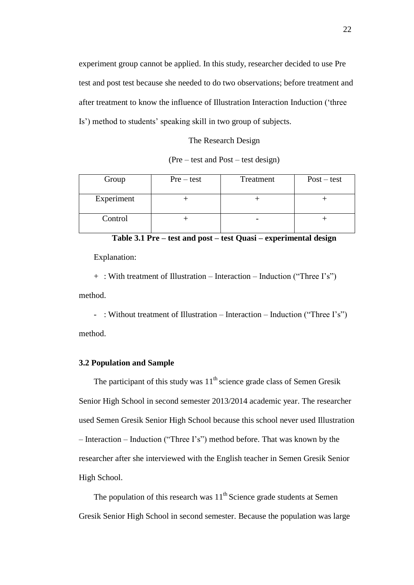experiment group cannot be applied. In this study, researcher decided to use Pre test and post test because she needed to do two observations; before treatment and after treatment to know the influence of Illustration Interaction Induction ("three Is") method to students" speaking skill in two group of subjects.

#### The Research Design

#### (Pre – test and Post – test design)

| Group      | $Pre-test$ | Treatment | $Post-test$ |
|------------|------------|-----------|-------------|
| Experiment |            |           |             |
| Control    |            |           |             |

**Table 3.1 Pre – test and post – test Quasi – experimental design**

Explanation:

+ : With treatment of Illustration – Interaction – Induction ("Three I"s") method.

- : Without treatment of Illustration – Interaction – Induction ("Three I's") method.

### **3.2 Population and Sample**

The participant of this study was  $11^{th}$  science grade class of Semen Gresik Senior High School in second semester 2013/2014 academic year. The researcher used Semen Gresik Senior High School because this school never used Illustration – Interaction – Induction ("Three I"s") method before. That was known by the researcher after she interviewed with the English teacher in Semen Gresik Senior High School.

The population of this research was  $11<sup>th</sup>$  Science grade students at Semen Gresik Senior High School in second semester. Because the population was large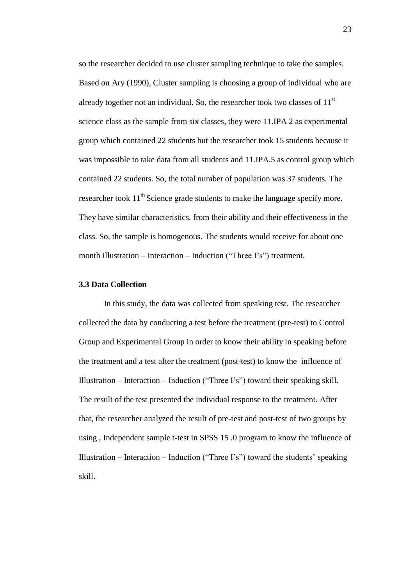so the researcher decided to use cluster sampling technique to take the samples. Based on Ary (1990), Cluster sampling is choosing a group of individual who are already together not an individual. So, the researcher took two classes of  $11<sup>st</sup>$ science class as the sample from six classes, they were 11.IPA 2 as experimental group which contained 22 students but the researcher took 15 students because it was impossible to take data from all students and 11.IPA.5 as control group which contained 22 students. So, the total number of population was 37 students. The researcher took  $11<sup>th</sup>$  Science grade students to make the language specify more. They have similar characteristics, from their ability and their effectiveness in the class. So, the sample is homogenous. The students would receive for about one month Illustration – Interaction – Induction ("Three I's") treatment.

## **3.3 Data Collection**

In this study, the data was collected from speaking test. The researcher collected the data by conducting a test before the treatment (pre-test) to Control Group and Experimental Group in order to know their ability in speaking before the treatment and a test after the treatment (post-test) to know the influence of Illustration – Interaction – Induction ("Three I's") toward their speaking skill. The result of the test presented the individual response to the treatment. After that, the researcher analyzed the result of pre-test and post-test of two groups by using , Independent sample t-test in SPSS 15 .0 program to know the influence of Illustration – Interaction – Induction ("Three I's") toward the students' speaking skill.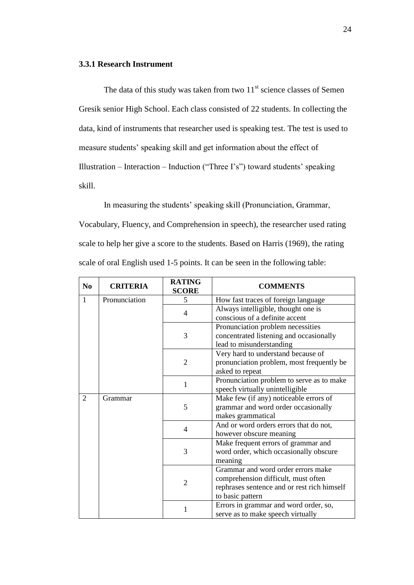#### **3.3.1 Research Instrument**

The data of this study was taken from two  $11<sup>st</sup>$  science classes of Semen Gresik senior High School. Each class consisted of 22 students. In collecting the data, kind of instruments that researcher used is speaking test. The test is used to measure students" speaking skill and get information about the effect of Illustration – Interaction – Induction ("Three I's") toward students' speaking skill.

In measuring the students' speaking skill (Pronunciation, Grammar, Vocabulary, Fluency, and Comprehension in speech), the researcher used rating scale to help her give a score to the students. Based on Harris (1969), the rating scale of oral English used 1-5 points. It can be seen in the following table:

| N <sub>0</sub> | <b>CRITERIA</b> | <b>RATING</b><br><b>SCORE</b>     | <b>COMMENTS</b>                             |  |
|----------------|-----------------|-----------------------------------|---------------------------------------------|--|
| $\mathbf{1}$   | Pronunciation   | 5                                 | How fast traces of foreign language         |  |
|                |                 | $\overline{4}$                    | Always intelligible, thought one is         |  |
|                |                 |                                   | conscious of a definite accent              |  |
|                |                 | Pronunciation problem necessities |                                             |  |
|                |                 | 3                                 | concentrated listening and occasionally     |  |
|                |                 |                                   | lead to misunderstanding                    |  |
|                |                 |                                   | Very hard to understand because of          |  |
|                |                 | $\overline{2}$                    | pronunciation problem, most frequently be   |  |
|                |                 |                                   | asked to repeat                             |  |
|                |                 | 1                                 | Pronunciation problem to serve as to make   |  |
|                |                 |                                   | speech virtually unintelligible             |  |
| 2              | Grammar         | 5                                 | Make few (if any) noticeable errors of      |  |
|                |                 |                                   | grammar and word order occasionally         |  |
|                |                 |                                   | makes grammatical                           |  |
|                |                 | $\overline{4}$                    | And or word orders errors that do not,      |  |
|                |                 |                                   | however obscure meaning                     |  |
|                |                 | 3                                 | Make frequent errors of grammar and         |  |
|                |                 |                                   | word order, which occasionally obscure      |  |
|                |                 |                                   | meaning                                     |  |
|                |                 |                                   | Grammar and word order errors make          |  |
|                |                 | $\overline{2}$                    | comprehension difficult, must often         |  |
|                |                 |                                   | rephrases sentence and or rest rich himself |  |
|                |                 |                                   | to basic pattern                            |  |
|                |                 |                                   | Errors in grammar and word order, so,       |  |
|                |                 |                                   | serve as to make speech virtually           |  |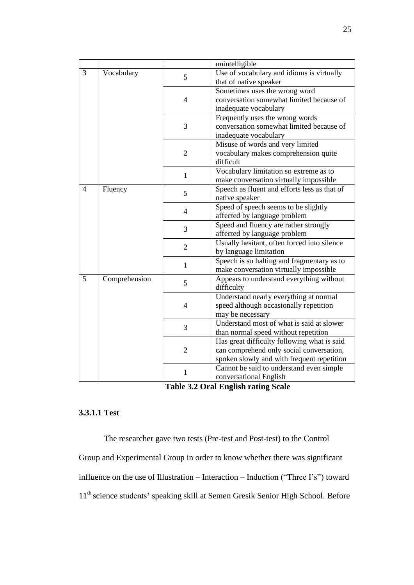|                 |               |                | unintelligible                               |  |  |
|-----------------|---------------|----------------|----------------------------------------------|--|--|
| 3<br>Vocabulary |               | 5              | Use of vocabulary and idioms is virtually    |  |  |
|                 |               |                | that of native speaker                       |  |  |
|                 |               |                | Sometimes uses the wrong word                |  |  |
|                 |               | $\overline{4}$ | conversation somewhat limited because of     |  |  |
|                 |               |                | inadequate vocabulary                        |  |  |
|                 |               |                | Frequently uses the wrong words              |  |  |
|                 |               | 3              | conversation somewhat limited because of     |  |  |
|                 |               |                | inadequate vocabulary                        |  |  |
|                 |               |                | Misuse of words and very limited             |  |  |
|                 |               | $\overline{2}$ | vocabulary makes comprehension quite         |  |  |
|                 |               |                | difficult                                    |  |  |
|                 |               | $\mathbf{1}$   | Vocabulary limitation so extreme as to       |  |  |
|                 |               |                | make conversation virtually impossible       |  |  |
| $\overline{4}$  | Fluency       | 5              | Speech as fluent and efforts less as that of |  |  |
|                 |               |                | native speaker                               |  |  |
|                 |               | $\overline{4}$ | Speed of speech seems to be slightly         |  |  |
|                 |               |                | affected by language problem                 |  |  |
|                 |               | 3              | Speed and fluency are rather strongly        |  |  |
|                 |               |                | affected by language problem                 |  |  |
|                 |               | $\overline{2}$ | Usually hesitant, often forced into silence  |  |  |
|                 |               |                | by language limitation                       |  |  |
|                 |               | $\mathbf{1}$   | Speech is so halting and fragmentary as to   |  |  |
|                 |               |                | make conversation virtually impossible       |  |  |
| 5               | Comprehension | 5              | Appears to understand everything without     |  |  |
|                 |               |                | difficulty                                   |  |  |
|                 |               | $\overline{4}$ | Understand nearly everything at normal       |  |  |
|                 |               |                | speed although occasionally repetition       |  |  |
|                 |               |                | may be necessary                             |  |  |
|                 |               | $\overline{3}$ | Understand most of what is said at slower    |  |  |
|                 |               |                | than normal speed without repetition         |  |  |
|                 |               | $\overline{2}$ | Has great difficulty following what is said  |  |  |
|                 |               |                | can comprehend only social conversation,     |  |  |
|                 |               |                | spoken slowly and with frequent repetition   |  |  |
|                 |               | 1              | Cannot be said to understand even simple     |  |  |
|                 |               |                | conversational English                       |  |  |

**Table 3.2 Oral English rating Scale**

## **3.3.1.1 Test**

The researcher gave two tests (Pre-test and Post-test) to the Control Group and Experimental Group in order to know whether there was significant influence on the use of Illustration – Interaction – Induction ("Three I"s") toward  $11^{\text{th}}$  science students' speaking skill at Semen Gresik Senior High School. Before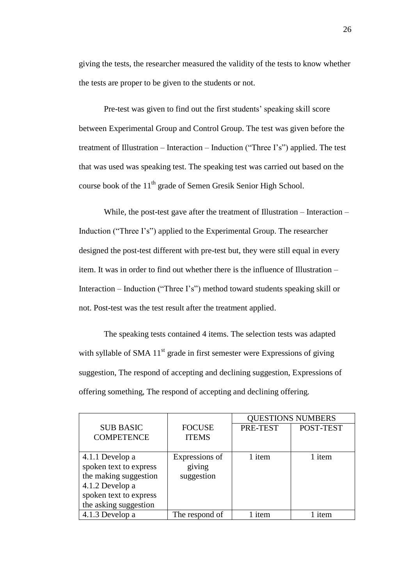giving the tests, the researcher measured the validity of the tests to know whether the tests are proper to be given to the students or not.

Pre-test was given to find out the first students' speaking skill score between Experimental Group and Control Group. The test was given before the treatment of Illustration – Interaction – Induction ("Three I"s") applied. The test that was used was speaking test. The speaking test was carried out based on the course book of the  $11<sup>th</sup>$  grade of Semen Gresik Senior High School.

While, the post-test gave after the treatment of Illustration – Interaction – Induction ("Three I's") applied to the Experimental Group. The researcher designed the post-test different with pre-test but, they were still equal in every item. It was in order to find out whether there is the influence of Illustration – Interaction – Induction ("Three I"s") method toward students speaking skill or not. Post-test was the test result after the treatment applied.

The speaking tests contained 4 items. The selection tests was adapted with syllable of SMA  $11<sup>st</sup>$  grade in first semester were Expressions of giving suggestion, The respond of accepting and declining suggestion, Expressions of offering something, The respond of accepting and declining offering.

|                        |                | <b>QUESTIONS NUMBERS</b> |           |
|------------------------|----------------|--------------------------|-----------|
| <b>SUB BASIC</b>       | <b>FOCUSE</b>  | PRE-TEST                 | POST-TEST |
| <b>COMPETENCE</b>      | <b>ITEMS</b>   |                          |           |
|                        |                |                          |           |
| 4.1.1 Develop a        | Expressions of | 1 item                   | 1 item    |
| spoken text to express | giving         |                          |           |
| the making suggestion  | suggestion     |                          |           |
| 4.1.2 Develop a        |                |                          |           |
| spoken text to express |                |                          |           |
| the asking suggestion  |                |                          |           |
| 4.1.3 Develop a        | The respond of | item                     | item      |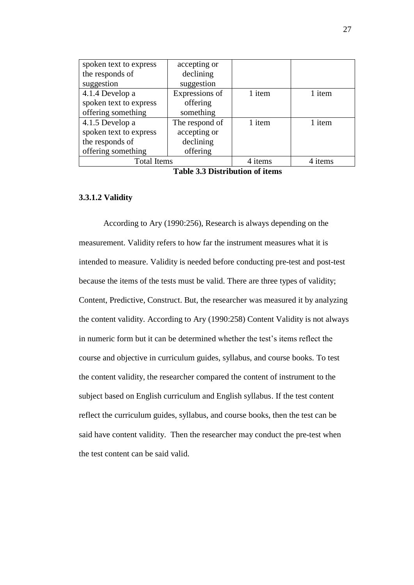| spoken text to express | accepting or   |         |         |
|------------------------|----------------|---------|---------|
| the responds of        | declining      |         |         |
| suggestion             | suggestion     |         |         |
| 4.1.4 Develop a        | Expressions of | 1 item  | 1 item  |
| spoken text to express | offering       |         |         |
| offering something     | something      |         |         |
| 4.1.5 Develop a        | The respond of | 1 item  | 1 item  |
| spoken text to express | accepting or   |         |         |
| the responds of        | declining      |         |         |
| offering something     | offering       |         |         |
| <b>Total Items</b>     |                | 4 items | 4 items |

|  | <b>Table 3.3 Distribution of items</b> |  |
|--|----------------------------------------|--|
|--|----------------------------------------|--|

## **3.3.1.2 Validity**

According to Ary (1990:256), Research is always depending on the measurement. Validity refers to how far the instrument measures what it is intended to measure. Validity is needed before conducting pre-test and post-test because the items of the tests must be valid. There are three types of validity; Content, Predictive, Construct. But, the researcher was measured it by analyzing the content validity. According to Ary (1990:258) Content Validity is not always in numeric form but it can be determined whether the test"s items reflect the course and objective in curriculum guides, syllabus, and course books. To test the content validity, the researcher compared the content of instrument to the subject based on English curriculum and English syllabus. If the test content reflect the curriculum guides, syllabus, and course books, then the test can be said have content validity. Then the researcher may conduct the pre-test when the test content can be said valid.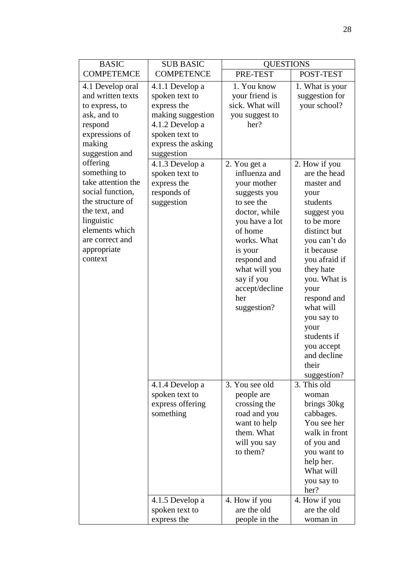| <b>BASIC</b>                                                                                                                                                                                          | <b>SUB BASIC</b>                                                                                                                                                                                                  | <b>QUESTIONS</b>                                                                                                                                                         |                                                                                                                                                                                                                                                                 |
|-------------------------------------------------------------------------------------------------------------------------------------------------------------------------------------------------------|-------------------------------------------------------------------------------------------------------------------------------------------------------------------------------------------------------------------|--------------------------------------------------------------------------------------------------------------------------------------------------------------------------|-----------------------------------------------------------------------------------------------------------------------------------------------------------------------------------------------------------------------------------------------------------------|
| <b>COMPETEMCE</b>                                                                                                                                                                                     | <b>COMPETENCE</b>                                                                                                                                                                                                 | PRE-TEST                                                                                                                                                                 | POST-TEST                                                                                                                                                                                                                                                       |
| 4.1 Develop oral<br>and written texts<br>to express, to<br>ask, and to<br>respond<br>expressions of<br>making<br>suggestion and<br>offering<br>something to<br>take attention the<br>social function, | 4.1.1 Develop a<br>spoken text to<br>express the<br>making suggestion<br>4.1.2 Develop a<br>spoken text to<br>express the asking<br>suggestion<br>4.1.3 Develop a<br>spoken text to<br>express the<br>responds of | 1. You know<br>your friend is<br>sick. What will<br>you suggest to<br>her?<br>2. You get a<br>influenza and<br>your mother<br>suggests you                               | 1. What is your<br>suggestion for<br>your school?<br>2. How if you<br>are the head<br>master and<br>your                                                                                                                                                        |
| the structure of<br>the text, and<br>linguistic<br>elements which<br>are correct and<br>appropriate<br>context                                                                                        | suggestion                                                                                                                                                                                                        | to see the<br>doctor, while<br>you have a lot<br>of home<br>works. What<br>is your<br>respond and<br>what will you<br>say if you<br>accept/decline<br>her<br>suggestion? | students<br>suggest you<br>to be more<br>distinct but<br>you can't do<br>it because<br>you afraid if<br>they hate<br>you. What is<br>your<br>respond and<br>what will<br>you say to<br>your<br>students if<br>you accept<br>and decline<br>their<br>suggestion? |
|                                                                                                                                                                                                       | 4.1.4 Develop a<br>spoken text to<br>express offering<br>something                                                                                                                                                | 3. You see old<br>people are<br>crossing the<br>road and you<br>want to help<br>them. What<br>will you say<br>to them?                                                   | 3. This old<br>woman<br>brings 30kg<br>cabbages.<br>You see her<br>walk in front<br>of you and<br>you want to<br>help her.<br>What will<br>you say to<br>her?                                                                                                   |
|                                                                                                                                                                                                       | 4.1.5 Develop a<br>spoken text to<br>express the                                                                                                                                                                  | 4. How if you<br>are the old<br>people in the                                                                                                                            | 4. How if you<br>are the old<br>woman in                                                                                                                                                                                                                        |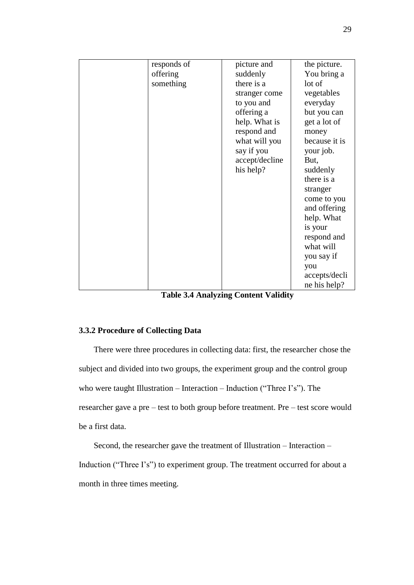| responds of | picture and    | the picture.  |
|-------------|----------------|---------------|
| offering    | suddenly       | You bring a   |
| something   | there is a     | lot of        |
|             | stranger come  | vegetables    |
|             | to you and     | everyday      |
|             | offering a     | but you can   |
|             | help. What is  | get a lot of  |
|             | respond and    | money         |
|             | what will you  | because it is |
|             | say if you     | your job.     |
|             | accept/decline | But,          |
|             | his help?      | suddenly      |
|             |                | there is a    |
|             |                | stranger      |
|             |                | come to you   |
|             |                | and offering  |
|             |                | help. What    |
|             |                | is your       |
|             |                | respond and   |
|             |                | what will     |
|             |                | you say if    |
|             |                | you           |
|             |                | accepts/decli |
|             |                | ne his help?  |

**Table 3.4 Analyzing Content Validity**

## **3.3.2 Procedure of Collecting Data**

There were three procedures in collecting data: first, the researcher chose the subject and divided into two groups, the experiment group and the control group who were taught Illustration – Interaction – Induction ("Three I's"). The researcher gave a pre – test to both group before treatment. Pre – test score would be a first data.

Second, the researcher gave the treatment of Illustration – Interaction – Induction ("Three I's") to experiment group. The treatment occurred for about a month in three times meeting.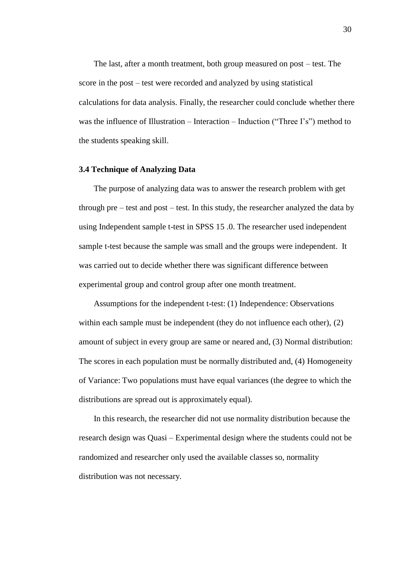The last, after a month treatment, both group measured on post – test. The score in the post – test were recorded and analyzed by using statistical calculations for data analysis. Finally, the researcher could conclude whether there was the influence of Illustration – Interaction – Induction ("Three I's") method to the students speaking skill.

#### **3.4 Technique of Analyzing Data**

The purpose of analyzing data was to answer the research problem with get through pre – test and post – test. In this study, the researcher analyzed the data by using Independent sample t-test in SPSS 15 .0. The researcher used independent sample t-test because the sample was small and the groups were independent. It was carried out to decide whether there was significant difference between experimental group and control group after one month treatment.

Assumptions for the independent t-test: (1) Independence: Observations within each sample must be independent (they do not influence each other), (2) amount of subject in every group are same or neared and, (3) Normal distribution: The scores in each population must be normally distributed and, (4) Homogeneity of Variance: Two populations must have equal variances (the degree to which the distributions are spread out is approximately equal).

In this research, the researcher did not use normality distribution because the research design was Quasi – Experimental design where the students could not be randomized and researcher only used the available classes so, normality distribution was not necessary.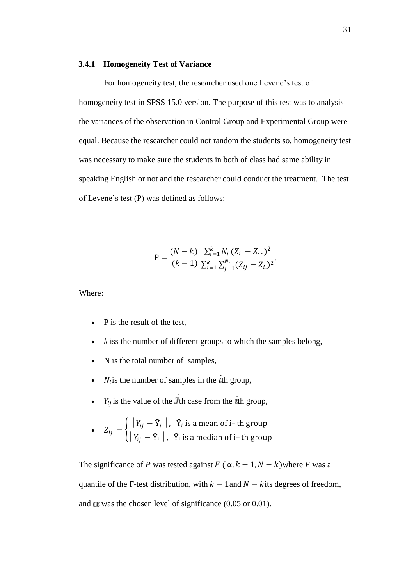#### **3.4.1 Homogeneity Test of Variance**

For homogeneity test, the researcher used one Levene"s test of homogeneity test in SPSS 15.0 version. The purpose of this test was to analysis the variances of the observation in Control Group and Experimental Group were equal. Because the researcher could not random the students so, homogeneity test was necessary to make sure the students in both of class had same ability in speaking English or not and the researcher could conduct the treatment. The test of Levene"s test (P) was defined as follows:

$$
P = \frac{(N-k)}{(k-1)} \frac{\sum_{i=1}^{k} N_i (Z_{i.} - Z_{..})^2}{\sum_{i=1}^{k} \sum_{j=1}^{N_i} (Z_{ij} - Z_{i.})^2},
$$

Where:

- $\bullet$  P is the result of the test,
- *k* iss the number of different groups to which the samples belong,
- N is the total number of samples,
- $\bullet$   $N_i$  is the number of samples in the t<sup>th</sup> group,
- $Y_{ij}$  is the value of the *J*th case from the *i*th group,

• 
$$
Z_{ij} = \begin{cases} |Y_{ij} - \bar{Y}_{i.}|, & \bar{Y}_{i.} \text{ is a mean of } i-\text{th group} \\ |Y_{ij} - \tilde{Y}_{i.}|, & \tilde{Y}_{i.} \text{ is a median of } i-\text{th group} \end{cases}
$$

The significance of *P* was tested against  $F(\alpha, k-1, N-k)$  where *F* was a quantile of the [F-test](http://en.wikipedia.org/wiki/F-test) distribution, with  $k - 1$  and  $N - k$  its degrees of freedom, and  $\alpha$  was the chosen level of significance (0.05 or 0.01).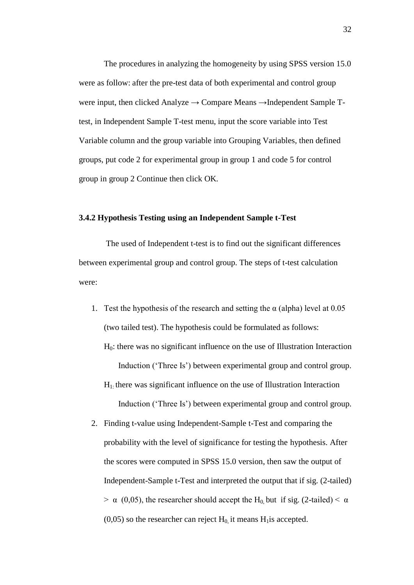The procedures in analyzing the homogeneity by using SPSS version 15.0 were as follow: after the pre-test data of both experimental and control group were input, then clicked Analyze → Compare Means →Independent Sample Ttest, in Independent Sample T-test menu, input the score variable into Test Variable column and the group variable into Grouping Variables, then defined groups, put code 2 for experimental group in group 1 and code 5 for control group in group 2 Continue then click OK.

### **3.4.2 Hypothesis Testing using an Independent Sample t-Test**

The used of Independent t-test is to find out the significant differences between experimental group and control group. The steps of t-test calculation were:

- 1. Test the hypothesis of the research and setting the  $\alpha$  (alpha) level at 0.05 (two tailed test). The hypothesis could be formulated as follows: H0: there was no significant influence on the use of Illustration Interaction Induction ('Three Is') between experimental group and control group.
	- $H<sub>1</sub>$ : there was significant influence on the use of Illustration Interaction Induction ("Three Is") between experimental group and control group.
- 2. Finding t-value using Independent-Sample t-Test and comparing the probability with the level of significance for testing the hypothesis. After the scores were computed in SPSS 15.0 version, then saw the output of Independent-Sample t-Test and interpreted the output that if sig. (2-tailed)  $> \alpha$  (0,05), the researcher should accept the H<sub>0</sub> but if sig. (2-tailed)  $< \alpha$  $(0,05)$  so the researcher can reject  $H_0$  it means  $H_1$  is accepted.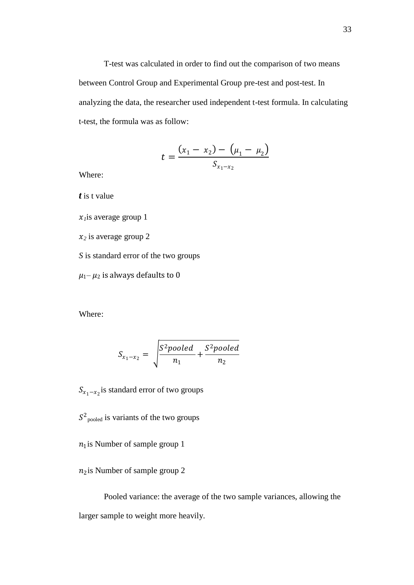T-test was calculated in order to find out the comparison of two means between Control Group and Experimental Group pre-test and post-test. In analyzing the data, the researcher used independent t-test formula. In calculating t-test, the formula was as follow:

$$
t = \frac{(x_1 - x_2) - (\mu_1 - \mu_2)}{S_{x_1 - x_2}}
$$

Where:

*t* is t value

 $x_i$ is average group 1

 $x_2$  is average group 2

*S* is standard error of the two groups

 $\mu_1$ –  $\mu_2$  is always defaults to 0

Where:

$$
S_{x_1-x_2} = \sqrt{\frac{S^2pooled}{n_1} + \frac{S^2pooled}{n_2}}
$$

 $S_{x_1-x_2}$ is standard error of two groups

 $S^2$ <sub>pooled</sub> is variants of the two groups

 $n_1$  is Number of sample group 1

n<sub>2</sub> is Number of sample group 2

Pooled variance: the average of the two sample variances, allowing the larger sample to weight more heavily.